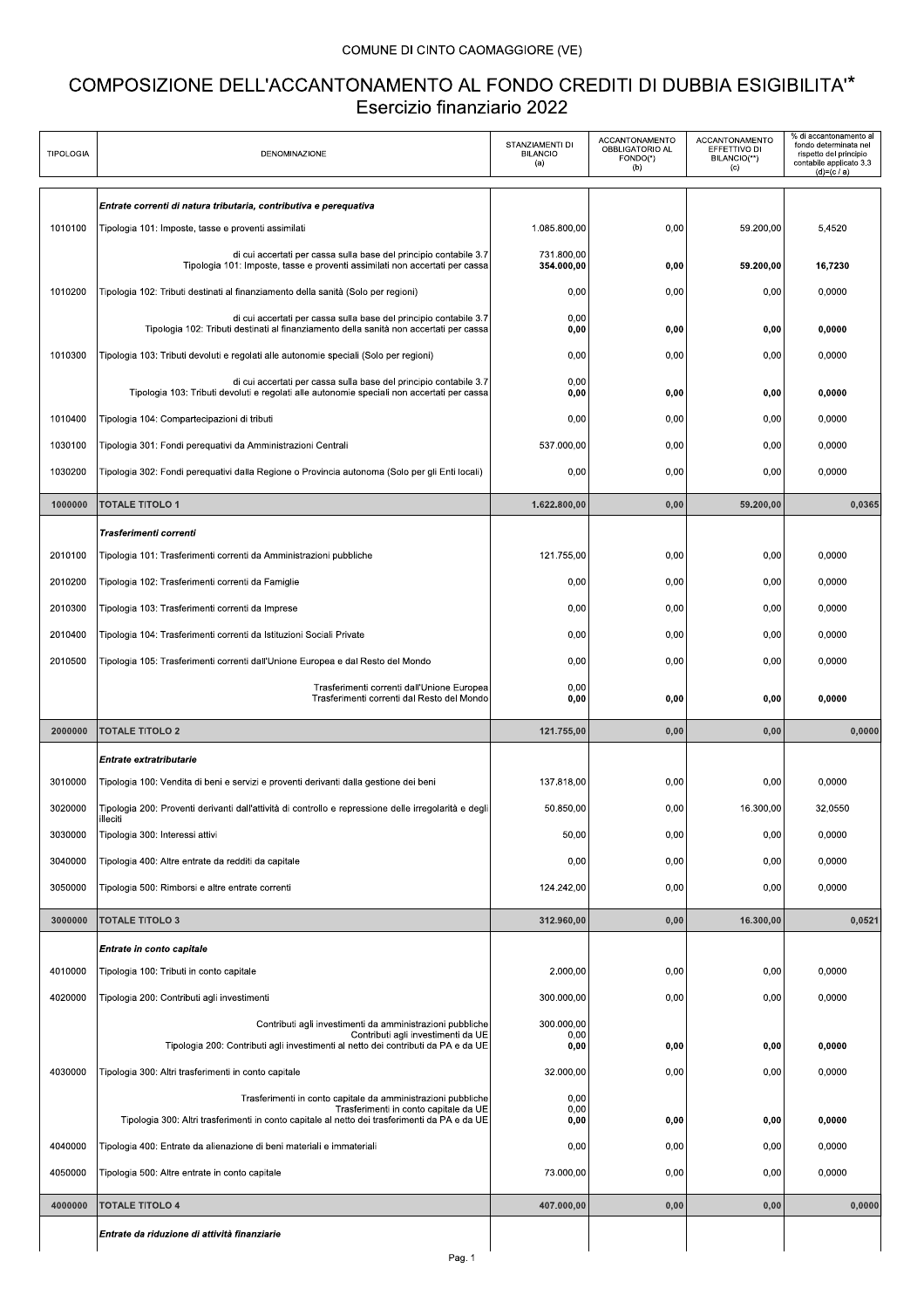## COMUNE DI CINTO CAOMAGGIORE (VE)

## COMPOSIZIONE DELL'ACCANTONAMENTO AL FONDO CREDITI DI DUBBIA ESIGIBILITA"\* Esercizio finanziario 2022

| <b>TIPOLOGIA</b> | <b>DENOMINAZIONE</b>                                                                                                                                                                                   | STANZIAMENTI DI<br><b>BILANCIO</b><br>(a) | ACCANTONAMENTO<br>OBBLIGATORIO AL<br>FONDO(*)<br>(b) | ACCANTONAMENTO<br>EFFETTIVO DI<br>BILANCIO(**)<br>(c) | % di accantonamento al<br>fondo determinata nel<br>rispetto del principio<br>contabile applicato 3.3<br>$(d)=(c/a)$ |
|------------------|--------------------------------------------------------------------------------------------------------------------------------------------------------------------------------------------------------|-------------------------------------------|------------------------------------------------------|-------------------------------------------------------|---------------------------------------------------------------------------------------------------------------------|
|                  | Entrate correnti di natura tributaria, contributiva e pereguativa                                                                                                                                      |                                           |                                                      |                                                       |                                                                                                                     |
| 1010100          | Tipologia 101: Imposte, tasse e proventi assimilati                                                                                                                                                    | 1.085.800,00                              | 0,00                                                 | 59.200,00                                             | 5,4520                                                                                                              |
|                  | di cui accertati per cassa sulla base del principio contabile 3.7<br>Tipologia 101: Imposte, tasse e proventi assimilati non accertati per cassa                                                       | 731.800,00<br>354.000,00                  | 0,00                                                 | 59.200,00                                             | 16,7230                                                                                                             |
| 1010200          | Tipologia 102: Tributi destinati al finanziamento della sanità (Solo per regioni)                                                                                                                      | 0,00                                      | 0,00                                                 | 0,00                                                  | 0,0000                                                                                                              |
|                  | di cui accertati per cassa sulla base del principio contabile 3.7<br>Tipologia 102: Tributi destinati al finanziamento della sanità non accertati per cassa                                            | 0.00<br>0,00                              | 0,00                                                 | 0,00                                                  | 0,0000                                                                                                              |
| 1010300          | Tipologia 103: Tributi devoluti e regolati alle autonomie speciali (Solo per regioni)                                                                                                                  | 0,00                                      | 0,00                                                 | 0,00                                                  | 0,0000                                                                                                              |
|                  | di cui accertati per cassa sulla base del principio contabile 3.7<br>Tipologia 103: Tributi devoluti e regolati alle autonomie speciali non accertati per cassa                                        | 0,00<br>0,00                              | 0,00                                                 | 0,00                                                  | 0,0000                                                                                                              |
| 1010400          | Tipologia 104: Compartecipazioni di tributi                                                                                                                                                            | 0,00                                      | 0,00                                                 | 0,00                                                  | 0,0000                                                                                                              |
| 1030100          | Tipologia 301: Fondi perequativi da Amministrazioni Centrali                                                                                                                                           | 537.000,00                                | 0,00                                                 | 0,00                                                  | 0,0000                                                                                                              |
| 1030200          | Tipologia 302: Fondi perequativi dalla Regione o Provincia autonoma (Solo per gli Enti locali)                                                                                                         | 0,00                                      | 0,00                                                 | 0,00                                                  | 0,0000                                                                                                              |
| 1000000          | <b>TOTALE TITOLO 1</b>                                                                                                                                                                                 | 1.622.800,00                              | 0,00                                                 | 59.200,00                                             | 0,0365                                                                                                              |
|                  | Trasferimenti correnti                                                                                                                                                                                 |                                           |                                                      |                                                       |                                                                                                                     |
| 2010100          | Tipologia 101: Trasferimenti correnti da Amministrazioni pubbliche                                                                                                                                     | 121.755,00                                | 0,00                                                 | 0,00                                                  | 0.0000                                                                                                              |
| 2010200          | Tipologia 102: Trasferimenti correnti da Famiglie                                                                                                                                                      | 0,00                                      | 0,00                                                 | 0,00                                                  | 0,0000                                                                                                              |
| 2010300          | Tipologia 103: Trasferimenti correnti da Imprese                                                                                                                                                       | 0,00                                      | 0,00                                                 | 0,00                                                  | 0,0000                                                                                                              |
| 2010400          | Tipologia 104: Trasferimenti correnti da Istituzioni Sociali Private                                                                                                                                   | 0,00                                      | 0,00                                                 | 0,00                                                  | 0,0000                                                                                                              |
| 2010500          | Tipologia 105: Trasferimenti correnti dall'Unione Europea e dal Resto del Mondo                                                                                                                        | 0,00                                      | 0,00                                                 | 0,00                                                  | 0,0000                                                                                                              |
|                  | Trasferimenti correnti dall'Unione Europea<br>Trasferimenti correnti dal Resto del Mondo                                                                                                               | 0,00<br>0,00                              | 0,00                                                 | 0.00                                                  | 0,0000                                                                                                              |
| 2000000          | <b>TOTALE TITOLO 2</b>                                                                                                                                                                                 | 121.755.00                                | 0,00                                                 | 0,00                                                  | 0,0000                                                                                                              |
|                  | Entrate extratributarie                                                                                                                                                                                |                                           |                                                      |                                                       |                                                                                                                     |
| 3010000          | Tipologia 100: Vendita di beni e servizi e proventi derivanti dalla gestione dei beni                                                                                                                  | 137.818.00                                | 0,00                                                 | 0,00                                                  | 0,0000                                                                                                              |
| 3020000          | Tipologia 200: Proventi derivanti dall'attività di controllo e repressione delle irregolarità e degli<br>illeciti                                                                                      | 50.850.00                                 | 0,00                                                 | 16.300,00                                             | 32,0550                                                                                                             |
| 3030000          | Tipologia 300: Interessi attivi                                                                                                                                                                        | 50,00                                     | 0,00                                                 | 0,00                                                  | 0,0000                                                                                                              |
| 3040000          | Tipologia 400: Altre entrate da redditi da capitale                                                                                                                                                    | 0,00                                      | 0,00                                                 | 0,00                                                  | 0,0000                                                                                                              |
| 3050000          | Tipologia 500: Rimborsi e altre entrate correnti                                                                                                                                                       | 124.242,00                                | 0,00                                                 | 0,00                                                  | 0,0000                                                                                                              |
| 3000000          | <b>TOTALE TITOLO 3</b>                                                                                                                                                                                 | 312.960,00                                | 0,00                                                 | 16.300,00                                             | 0,0521                                                                                                              |
|                  | Entrate in conto capitale                                                                                                                                                                              |                                           |                                                      |                                                       |                                                                                                                     |
| 4010000          | Tipologia 100: Tributi in conto capitale                                                                                                                                                               | 2.000,00                                  | 0,00                                                 | 0,00                                                  | 0,0000                                                                                                              |
| 4020000          | Tipologia 200: Contributi agli investimenti                                                                                                                                                            | 300.000,00                                | 0,00                                                 | 0,00                                                  | 0,0000                                                                                                              |
|                  | Contributi agli investimenti da amministrazioni pubbliche<br>Contributi agli investimenti da UE<br>Tipologia 200: Contributi agli investimenti al netto dei contributi da PA e da UE                   | 300.000,00<br>0,00<br>0,00                | 0,00                                                 | 0,00                                                  | 0,0000                                                                                                              |
| 4030000          | Tipologia 300: Altri trasferimenti in conto capitale                                                                                                                                                   | 32.000,00                                 | 0,00                                                 | 0,00                                                  | 0,0000                                                                                                              |
|                  | Trasferimenti in conto capitale da amministrazioni pubbliche<br>Trasferimenti in conto capitale da UE<br>Tipologia 300: Altri trasferimenti in conto capitale al netto dei trasferimenti da PA e da UE | 0,00<br>0,00<br>0,00                      | 0,00                                                 | 0,00                                                  | 0,0000                                                                                                              |
| 4040000          | Tipologia 400: Entrate da alienazione di beni materiali e immateriali                                                                                                                                  | 0,00                                      | 0,00                                                 | 0,00                                                  | 0,0000                                                                                                              |
| 4050000          |                                                                                                                                                                                                        |                                           |                                                      |                                                       |                                                                                                                     |
|                  | Tipologia 500: Altre entrate in conto capitale                                                                                                                                                         | 73.000,00                                 | 0,00                                                 | 0,00                                                  | 0,0000                                                                                                              |
| 4000000          | <b>TOTALE TITOLO 4</b>                                                                                                                                                                                 | 407.000,00                                | 0,00                                                 | 0,00                                                  | 0,0000                                                                                                              |